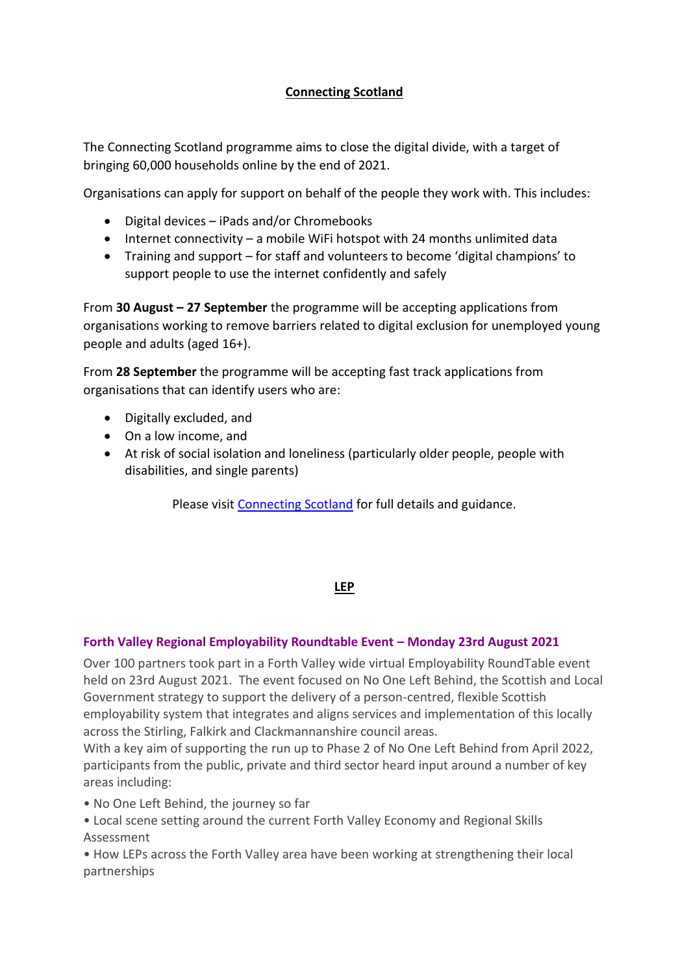# **Connecting Scotland**

The Connecting Scotland programme aims to close the digital divide, with a target of bringing 60,000 households online by the end of 2021.

Organisations can apply for support on behalf of the people they work with. This includes:

- Digital devices iPads and/or Chromebooks
- Internet connectivity a mobile WiFi hotspot with 24 months unlimited data
- Training and support for staff and volunteers to become 'digital champions' to support people to use the internet confidently and safely

From **30 August – 27 September** the programme will be accepting applications from organisations working to remove barriers related to digital exclusion for unemployed young people and adults (aged 16+).

From **28 September** the programme will be accepting fast track applications from organisations that can identify users who are:

- Digitally excluded, and
- On a low income, and
- At risk of social isolation and loneliness (particularly older people, people with disabilities, and single parents)

Please visit [Connecting Scotland](https://urldefense.proofpoint.com/v2/url?u=https-3A__connecting.scot_&d=DwMFAg&c=euGZstcaTDllvimEN8b7jXrwqOf-v5A_CdpgnVfiiMM&r=G1KkPQOZgqo2GRS5LCBidNZRw9IV2k9sSOwuJoT5nXA&m=7nK3TDUBmrwEsJFqbFBYBI9iPI8T-nM8gOFHDDIqF_4&s=IAYwFoy-Fsq51jpLjRHRYoJb8JXqEgkTwXaxhOrkFH8&e=) for full details and guidance.

## **LEP**

# **Forth Valley Regional Employability Roundtable Event – Monday 23rd August 2021**

Over 100 partners took part in a Forth Valley wide virtual Employability RoundTable event held on 23rd August 2021. The event focused on No One Left Behind, the Scottish and Local Government strategy to support the delivery of a person-centred, flexible Scottish employability system that integrates and aligns services and implementation of this locally across the Stirling, Falkirk and Clackmannanshire council areas.

With a key aim of supporting the run up to Phase 2 of No One Left Behind from April 2022, participants from the public, private and third sector heard input around a number of key areas including:

- No One Left Behind, the journey so far
- Local scene setting around the current Forth Valley Economy and Regional Skills Assessment

• How LEPs across the Forth Valley area have been working at strengthening their local partnerships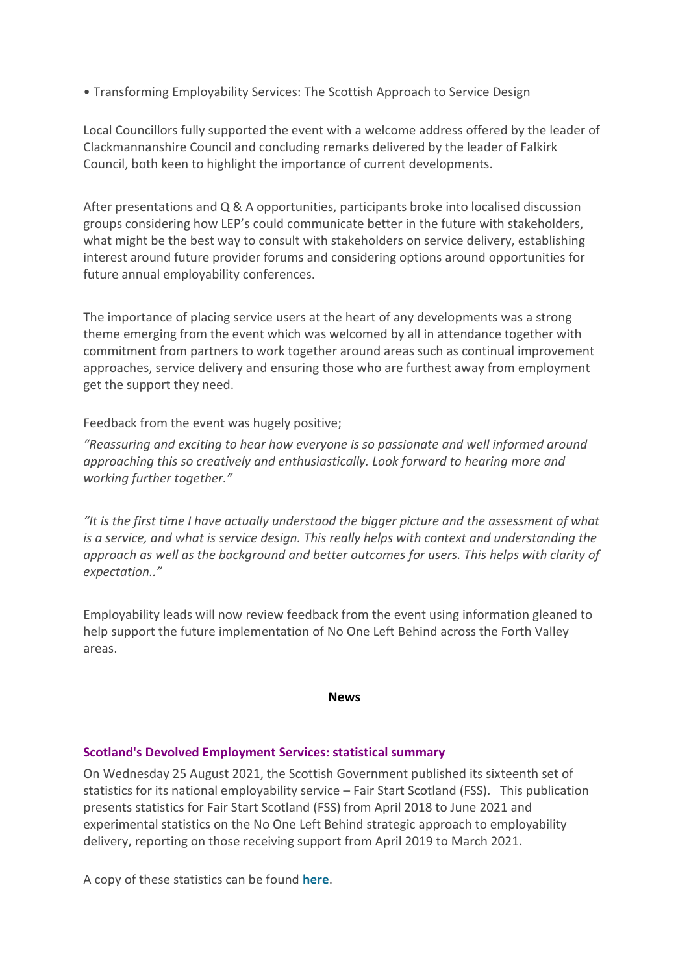• Transforming Employability Services: The Scottish Approach to Service Design

Local Councillors fully supported the event with a welcome address offered by the leader of Clackmannanshire Council and concluding remarks delivered by the leader of Falkirk Council, both keen to highlight the importance of current developments.

After presentations and Q & A opportunities, participants broke into localised discussion groups considering how LEP's could communicate better in the future with stakeholders, what might be the best way to consult with stakeholders on service delivery, establishing interest around future provider forums and considering options around opportunities for future annual employability conferences.

The importance of placing service users at the heart of any developments was a strong theme emerging from the event which was welcomed by all in attendance together with commitment from partners to work together around areas such as continual improvement approaches, service delivery and ensuring those who are furthest away from employment get the support they need.

Feedback from the event was hugely positive;

*"Reassuring and exciting to hear how everyone is so passionate and well informed around approaching this so creatively and enthusiastically. Look forward to hearing more and working further together."*

*"It is the first time I have actually understood the bigger picture and the assessment of what is a service, and what is service design. This really helps with context and understanding the approach as well as the background and better outcomes for users. This helps with clarity of expectation.."*

Employability leads will now review feedback from the event using information gleaned to help support the future implementation of No One Left Behind across the Forth Valley areas.

#### **News**

### **Scotland's Devolved Employment Services: statistical summary**

On Wednesday 25 August 2021, the Scottish Government published its sixteenth set of statistics for its national employability service – Fair Start Scotland (FSS). This publication presents statistics for Fair Start Scotland (FSS) from April 2018 to June 2021 and experimental statistics on the No One Left Behind strategic approach to employability delivery, reporting on those receiving support from April 2019 to March 2021.

A copy of these statistics can be found **[here](https://employabilityinscotland.createsend1.com/t/r-l-tluuyuhk-l-c/)**.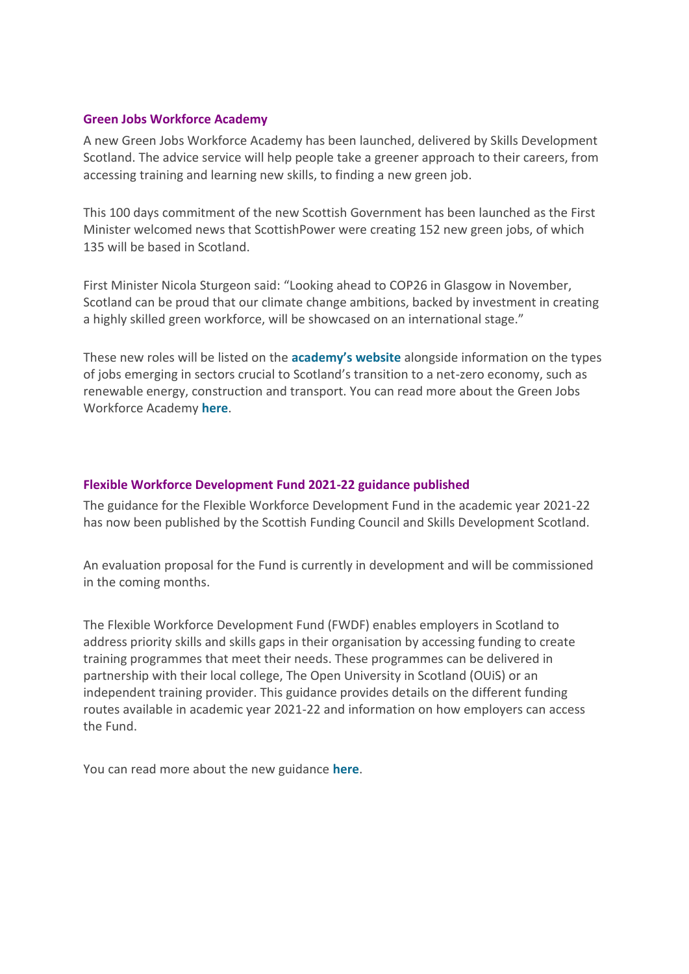### **Green Jobs Workforce Academy**

A new Green Jobs Workforce Academy has been launched, delivered by Skills Development Scotland. The advice service will help people take a greener approach to their careers, from accessing training and learning new skills, to finding a new green job.

This 100 days commitment of the new Scottish Government has been launched as the First Minister welcomed news that ScottishPower were creating 152 new green jobs, of which 135 will be based in Scotland.

First Minister Nicola Sturgeon said: "Looking ahead to COP26 in Glasgow in November, Scotland can be proud that our climate change ambitions, backed by investment in creating a highly skilled green workforce, will be showcased on an international stage."

These new roles will be listed on the **[academy's website](https://employabilityinscotland.createsend1.com/t/r-l-tluuyuhk-l-a/)** alongside information on the types of jobs emerging in sectors crucial to Scotland's transition to a net-zero economy, such as renewable energy, construction and transport. You can read more about the Green Jobs Workforce Academy **[here](https://employabilityinscotland.createsend1.com/t/r-l-tluuyuhk-l-f/)**.

#### **Flexible Workforce Development Fund 2021-22 guidance published**

The guidance for the Flexible Workforce Development Fund in the academic year 2021-22 has now been published by the Scottish Funding Council and Skills Development Scotland.

An evaluation proposal for the Fund is currently in development and will be commissioned in the coming months.

The Flexible Workforce Development Fund (FWDF) enables employers in Scotland to address priority skills and skills gaps in their organisation by accessing funding to create training programmes that meet their needs. These programmes can be delivered in partnership with their local college, The Open University in Scotland (OUiS) or an independent training provider. This guidance provides details on the different funding routes available in academic year 2021-22 and information on how employers can access the Fund.

You can read more about the new guidance **[here](https://employabilityinscotland.createsend1.com/t/r-l-tluuyuhk-l-z/)**.